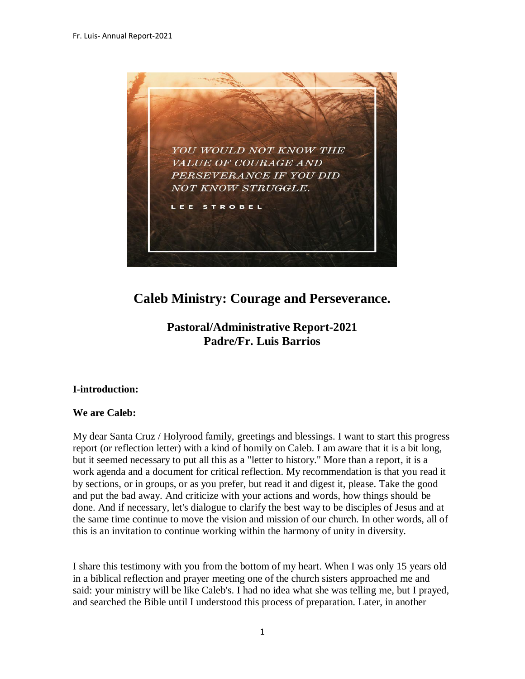

# **Caleb Ministry: Courage and Perseverance.**

## **Pastoral/Administrative Report-2021 Padre/Fr. Luis Barrios**

## **I-introduction:**

#### **We are Caleb:**

My dear Santa Cruz / Holyrood family, greetings and blessings. I want to start this progress report (or reflection letter) with a kind of homily on Caleb. I am aware that it is a bit long, but it seemed necessary to put all this as a "letter to history." More than a report, it is a work agenda and a document for critical reflection. My recommendation is that you read it by sections, or in groups, or as you prefer, but read it and digest it, please. Take the good and put the bad away. And criticize with your actions and words, how things should be done. And if necessary, let's dialogue to clarify the best way to be disciples of Jesus and at the same time continue to move the vision and mission of our church. In other words, all of this is an invitation to continue working within the harmony of unity in diversity.

I share this testimony with you from the bottom of my heart. When I was only 15 years old in a biblical reflection and prayer meeting one of the church sisters approached me and said: your ministry will be like Caleb's. I had no idea what she was telling me, but I prayed, and searched the Bible until I understood this process of preparation. Later, in another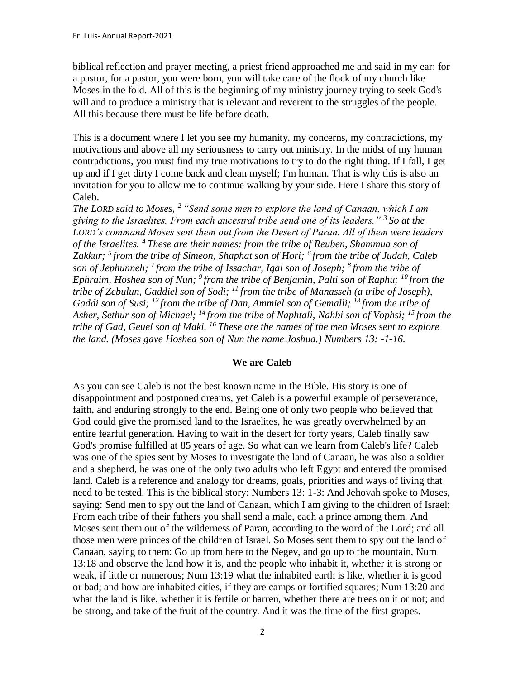biblical reflection and prayer meeting, a priest friend approached me and said in my ear: for a pastor, for a pastor, you were born, you will take care of the flock of my church like Moses in the fold. All of this is the beginning of my ministry journey trying to seek God's will and to produce a ministry that is relevant and reverent to the struggles of the people. All this because there must be life before death.

This is a document where I let you see my humanity, my concerns, my contradictions, my motivations and above all my seriousness to carry out ministry. In the midst of my human contradictions, you must find my true motivations to try to do the right thing. If I fall, I get up and if I get dirty I come back and clean myself; I'm human. That is why this is also an invitation for you to allow me to continue walking by your side. Here I share this story of Caleb.

*The LORD said to Moses, <sup>2</sup> "Send some men to explore the land of Canaan, which I am giving to the Israelites. From each ancestral tribe send one of its leaders." <sup>3</sup> So at the LORD's command Moses sent them out from the Desert of Paran. All of them were leaders of the Israelites. <sup>4</sup> These are their names: from the tribe of Reuben, Shammua son of Zakkur; <sup>5</sup> from the tribe of Simeon, Shaphat son of Hori; <sup>6</sup> from the tribe of Judah, Caleb son of Jephunneh; <sup>7</sup> from the tribe of Issachar, Igal son of Joseph; <sup>8</sup> from the tribe of Ephraim, Hoshea son of Nun; <sup>9</sup> from the tribe of Benjamin, Palti son of Raphu; <sup>10</sup> from the tribe of Zebulun, Gaddiel son of Sodi; <sup>11</sup> from the tribe of Manasseh (a tribe of Joseph), Gaddi son of Susi; <sup>12</sup> from the tribe of Dan, Ammiel son of Gemalli; <sup>13</sup> from the tribe of Asher, Sethur son of Michael; <sup>14</sup> from the tribe of Naphtali, Nahbi son of Vophsi; <sup>15</sup> from the tribe of Gad, Geuel son of Maki. <sup>16</sup> These are the names of the men Moses sent to explore the land. (Moses gave Hoshea son of Nun the name Joshua.) Numbers 13: -1-16.*

#### **We are Caleb**

As you can see Caleb is not the best known name in the Bible. His story is one of disappointment and postponed dreams, yet Caleb is a powerful example of perseverance, faith, and enduring strongly to the end. Being one of only two people who believed that God could give the promised land to the Israelites, he was greatly overwhelmed by an entire fearful generation. Having to wait in the desert for forty years, Caleb finally saw God's promise fulfilled at 85 years of age. So what can we learn from Caleb's life? Caleb was one of the spies sent by Moses to investigate the land of Canaan, he was also a soldier and a shepherd, he was one of the only two adults who left Egypt and entered the promised land. Caleb is a reference and analogy for dreams, goals, priorities and ways of living that need to be tested. This is the biblical story: Numbers 13: 1-3: And Jehovah spoke to Moses, saying: Send men to spy out the land of Canaan, which I am giving to the children of Israel; From each tribe of their fathers you shall send a male, each a prince among them. And Moses sent them out of the wilderness of Paran, according to the word of the Lord; and all those men were princes of the children of Israel. So Moses sent them to spy out the land of Canaan, saying to them: Go up from here to the Negev, and go up to the mountain, Num 13:18 and observe the land how it is, and the people who inhabit it, whether it is strong or weak, if little or numerous; Num 13:19 what the inhabited earth is like, whether it is good or bad; and how are inhabited cities, if they are camps or fortified squares; Num 13:20 and what the land is like, whether it is fertile or barren, whether there are trees on it or not; and be strong, and take of the fruit of the country. And it was the time of the first grapes.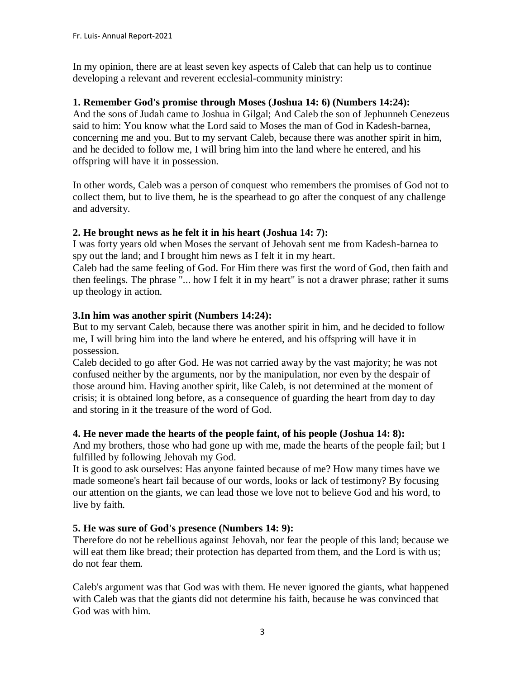In my opinion, there are at least seven key aspects of Caleb that can help us to continue developing a relevant and reverent ecclesial-community ministry:

#### **1. Remember God's promise through Moses (Joshua 14: 6) (Numbers 14:24):**

And the sons of Judah came to Joshua in Gilgal; And Caleb the son of Jephunneh Cenezeus said to him: You know what the Lord said to Moses the man of God in Kadesh-barnea, concerning me and you. But to my servant Caleb, because there was another spirit in him, and he decided to follow me, I will bring him into the land where he entered, and his offspring will have it in possession.

In other words, Caleb was a person of conquest who remembers the promises of God not to collect them, but to live them, he is the spearhead to go after the conquest of any challenge and adversity.

## **2. He brought news as he felt it in his heart (Joshua 14: 7):**

I was forty years old when Moses the servant of Jehovah sent me from Kadesh-barnea to spy out the land; and I brought him news as I felt it in my heart.

Caleb had the same feeling of God. For Him there was first the word of God, then faith and then feelings. The phrase "... how I felt it in my heart" is not a drawer phrase; rather it sums up theology in action.

## **3.In him was another spirit (Numbers 14:24):**

But to my servant Caleb, because there was another spirit in him, and he decided to follow me, I will bring him into the land where he entered, and his offspring will have it in possession.

Caleb decided to go after God. He was not carried away by the vast majority; he was not confused neither by the arguments, nor by the manipulation, nor even by the despair of those around him. Having another spirit, like Caleb, is not determined at the moment of crisis; it is obtained long before, as a consequence of guarding the heart from day to day and storing in it the treasure of the word of God.

#### **4. He never made the hearts of the people faint, of his people (Joshua 14: 8):**

And my brothers, those who had gone up with me, made the hearts of the people fail; but I fulfilled by following Jehovah my God.

It is good to ask ourselves: Has anyone fainted because of me? How many times have we made someone's heart fail because of our words, looks or lack of testimony? By focusing our attention on the giants, we can lead those we love not to believe God and his word, to live by faith.

## **5. He was sure of God's presence (Numbers 14: 9):**

Therefore do not be rebellious against Jehovah, nor fear the people of this land; because we will eat them like bread; their protection has departed from them, and the Lord is with us; do not fear them.

Caleb's argument was that God was with them. He never ignored the giants, what happened with Caleb was that the giants did not determine his faith, because he was convinced that God was with him.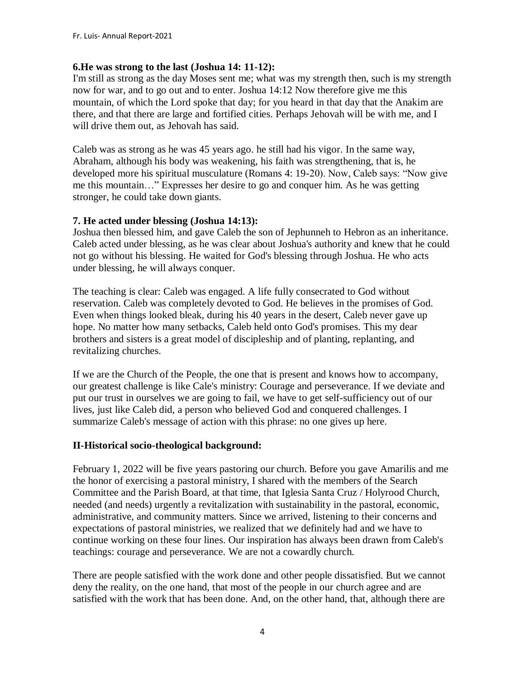## **6.He was strong to the last (Joshua 14: 11-12):**

I'm still as strong as the day Moses sent me; what was my strength then, such is my strength now for war, and to go out and to enter. Joshua 14:12 Now therefore give me this mountain, of which the Lord spoke that day; for you heard in that day that the Anakim are there, and that there are large and fortified cities. Perhaps Jehovah will be with me, and I will drive them out, as Jehovah has said.

Caleb was as strong as he was 45 years ago. he still had his vigor. In the same way, Abraham, although his body was weakening, his faith was strengthening, that is, he developed more his spiritual musculature (Romans 4: 19-20). Now, Caleb says: "Now give me this mountain…" Expresses her desire to go and conquer him. As he was getting stronger, he could take down giants.

## **7. He acted under blessing (Joshua 14:13):**

Joshua then blessed him, and gave Caleb the son of Jephunneh to Hebron as an inheritance. Caleb acted under blessing, as he was clear about Joshua's authority and knew that he could not go without his blessing. He waited for God's blessing through Joshua. He who acts under blessing, he will always conquer.

The teaching is clear: Caleb was engaged. A life fully consecrated to God without reservation. Caleb was completely devoted to God. He believes in the promises of God. Even when things looked bleak, during his 40 years in the desert, Caleb never gave up hope. No matter how many setbacks, Caleb held onto God's promises. This my dear brothers and sisters is a great model of discipleship and of planting, replanting, and revitalizing churches.

If we are the Church of the People, the one that is present and knows how to accompany, our greatest challenge is like Cale's ministry: Courage and perseverance. If we deviate and put our trust in ourselves we are going to fail, we have to get self-sufficiency out of our lives, just like Caleb did, a person who believed God and conquered challenges. I summarize Caleb's message of action with this phrase: no one gives up here.

## **II-Historical socio-theological background:**

February 1, 2022 will be five years pastoring our church. Before you gave Amarilis and me the honor of exercising a pastoral ministry, I shared with the members of the Search Committee and the Parish Board, at that time, that Iglesia Santa Cruz / Holyrood Church, needed (and needs) urgently a revitalization with sustainability in the pastoral, economic, administrative, and community matters. Since we arrived, listening to their concerns and expectations of pastoral ministries, we realized that we definitely had and we have to continue working on these four lines. Our inspiration has always been drawn from Caleb's teachings: courage and perseverance. We are not a cowardly church.

There are people satisfied with the work done and other people dissatisfied. But we cannot deny the reality, on the one hand, that most of the people in our church agree and are satisfied with the work that has been done. And, on the other hand, that, although there are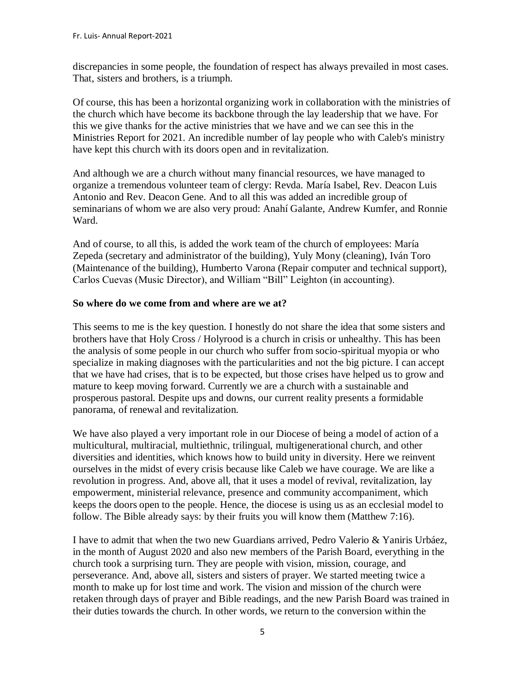discrepancies in some people, the foundation of respect has always prevailed in most cases. That, sisters and brothers, is a triumph.

Of course, this has been a horizontal organizing work in collaboration with the ministries of the church which have become its backbone through the lay leadership that we have. For this we give thanks for the active ministries that we have and we can see this in the Ministries Report for 2021. An incredible number of lay people who with Caleb's ministry have kept this church with its doors open and in revitalization.

And although we are a church without many financial resources, we have managed to organize a tremendous volunteer team of clergy: Revda. María Isabel, Rev. Deacon Luis Antonio and Rev. Deacon Gene. And to all this was added an incredible group of seminarians of whom we are also very proud: Anahí Galante, Andrew Kumfer, and Ronnie Ward.

And of course, to all this, is added the work team of the church of employees: María Zepeda (secretary and administrator of the building), Yuly Mony (cleaning), Iván Toro (Maintenance of the building), Humberto Varona (Repair computer and technical support), Carlos Cuevas (Music Director), and William "Bill" Leighton (in accounting).

#### **So where do we come from and where are we at?**

This seems to me is the key question. I honestly do not share the idea that some sisters and brothers have that Holy Cross / Holyrood is a church in crisis or unhealthy. This has been the analysis of some people in our church who suffer from socio-spiritual myopia or who specialize in making diagnoses with the particularities and not the big picture. I can accept that we have had crises, that is to be expected, but those crises have helped us to grow and mature to keep moving forward. Currently we are a church with a sustainable and prosperous pastoral. Despite ups and downs, our current reality presents a formidable panorama, of renewal and revitalization.

We have also played a very important role in our Diocese of being a model of action of a multicultural, multiracial, multiethnic, trilingual, multigenerational church, and other diversities and identities, which knows how to build unity in diversity. Here we reinvent ourselves in the midst of every crisis because like Caleb we have courage. We are like a revolution in progress. And, above all, that it uses a model of revival, revitalization, lay empowerment, ministerial relevance, presence and community accompaniment, which keeps the doors open to the people. Hence, the diocese is using us as an ecclesial model to follow. The Bible already says: by their fruits you will know them (Matthew 7:16).

I have to admit that when the two new Guardians arrived, Pedro Valerio & Yaniris Urbáez, in the month of August 2020 and also new members of the Parish Board, everything in the church took a surprising turn. They are people with vision, mission, courage, and perseverance. And, above all, sisters and sisters of prayer. We started meeting twice a month to make up for lost time and work. The vision and mission of the church were retaken through days of prayer and Bible readings, and the new Parish Board was trained in their duties towards the church. In other words, we return to the conversion within the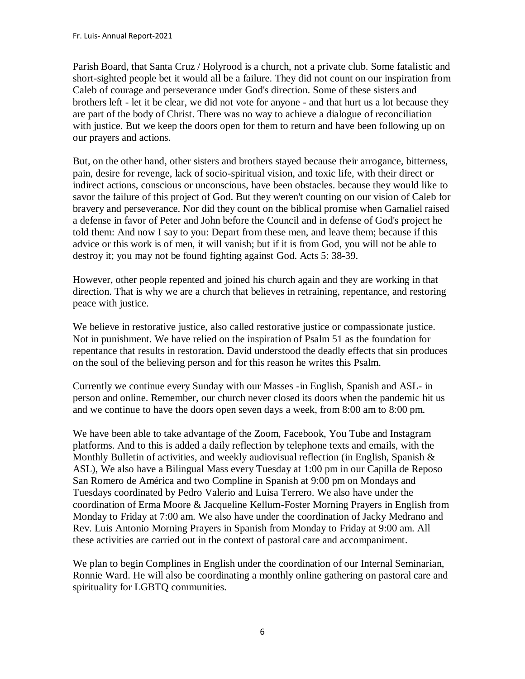Parish Board, that Santa Cruz / Holyrood is a church, not a private club. Some fatalistic and short-sighted people bet it would all be a failure. They did not count on our inspiration from Caleb of courage and perseverance under God's direction. Some of these sisters and brothers left - let it be clear, we did not vote for anyone - and that hurt us a lot because they are part of the body of Christ. There was no way to achieve a dialogue of reconciliation with justice. But we keep the doors open for them to return and have been following up on our prayers and actions.

But, on the other hand, other sisters and brothers stayed because their arrogance, bitterness, pain, desire for revenge, lack of socio-spiritual vision, and toxic life, with their direct or indirect actions, conscious or unconscious, have been obstacles. because they would like to savor the failure of this project of God. But they weren't counting on our vision of Caleb for bravery and perseverance. Nor did they count on the biblical promise when Gamaliel raised a defense in favor of Peter and John before the Council and in defense of God's project he told them: And now I say to you: Depart from these men, and leave them; because if this advice or this work is of men, it will vanish; but if it is from God, you will not be able to destroy it; you may not be found fighting against God. Acts 5: 38-39.

However, other people repented and joined his church again and they are working in that direction. That is why we are a church that believes in retraining, repentance, and restoring peace with justice.

We believe in restorative justice, also called restorative justice or compassionate justice. Not in punishment. We have relied on the inspiration of Psalm 51 as the foundation for repentance that results in restoration. David understood the deadly effects that sin produces on the soul of the believing person and for this reason he writes this Psalm.

Currently we continue every Sunday with our Masses -in English, Spanish and ASL- in person and online. Remember, our church never closed its doors when the pandemic hit us and we continue to have the doors open seven days a week, from 8:00 am to 8:00 pm.

We have been able to take advantage of the Zoom, Facebook, You Tube and Instagram platforms. And to this is added a daily reflection by telephone texts and emails, with the Monthly Bulletin of activities, and weekly audiovisual reflection (in English, Spanish & ASL), We also have a Bilingual Mass every Tuesday at 1:00 pm in our Capilla de Reposo San Romero de América and two Compline in Spanish at 9:00 pm on Mondays and Tuesdays coordinated by Pedro Valerio and Luisa Terrero. We also have under the coordination of Erma Moore & Jacqueline Kellum-Foster Morning Prayers in English from Monday to Friday at 7:00 am. We also have under the coordination of Jacky Medrano and Rev. Luis Antonio Morning Prayers in Spanish from Monday to Friday at 9:00 am. All these activities are carried out in the context of pastoral care and accompaniment.

We plan to begin Complines in English under the coordination of our Internal Seminarian, Ronnie Ward. He will also be coordinating a monthly online gathering on pastoral care and spirituality for LGBTQ communities.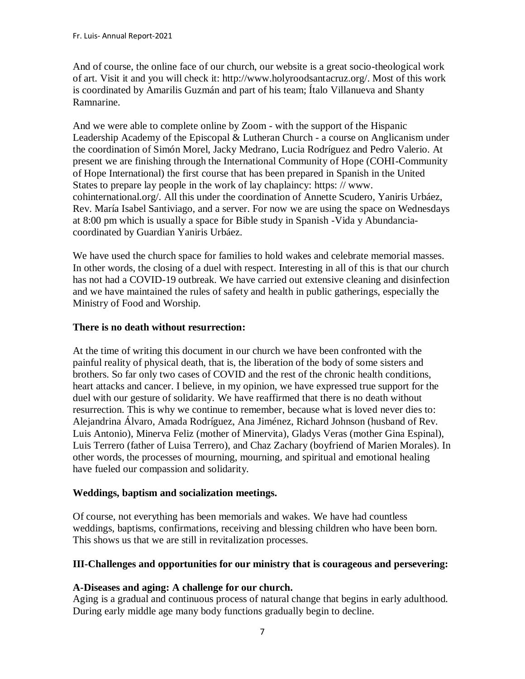And of course, the online face of our church, our website is a great socio-theological work of art. Visit it and you will check it: http://www.holyroodsantacruz.org/. Most of this work is coordinated by Amarilis Guzmán and part of his team; Ítalo Villanueva and Shanty Ramnarine.

And we were able to complete online by Zoom - with the support of the Hispanic Leadership Academy of the Episcopal & Lutheran Church - a course on Anglicanism under the coordination of Simón Morel, Jacky Medrano, Lucia Rodríguez and Pedro Valerio. At present we are finishing through the International Community of Hope (COHI-Community of Hope International) the first course that has been prepared in Spanish in the United States to prepare lay people in the work of lay chaplaincy: https: // www. cohinternational.org/. All this under the coordination of Annette Scudero, Yaniris Urbáez, Rev. María Isabel Santiviago, and a server. For now we are using the space on Wednesdays at 8:00 pm which is usually a space for Bible study in Spanish -Vida y Abundanciacoordinated by Guardian Yaniris Urbáez.

We have used the church space for families to hold wakes and celebrate memorial masses. In other words, the closing of a duel with respect. Interesting in all of this is that our church has not had a COVID-19 outbreak. We have carried out extensive cleaning and disinfection and we have maintained the rules of safety and health in public gatherings, especially the Ministry of Food and Worship.

## **There is no death without resurrection:**

At the time of writing this document in our church we have been confronted with the painful reality of physical death, that is, the liberation of the body of some sisters and brothers. So far only two cases of COVID and the rest of the chronic health conditions, heart attacks and cancer. I believe, in my opinion, we have expressed true support for the duel with our gesture of solidarity. We have reaffirmed that there is no death without resurrection. This is why we continue to remember, because what is loved never dies to: Alejandrina Álvaro, Amada Rodríguez, Ana Jiménez, Richard Johnson (husband of Rev. Luis Antonio), Minerva Feliz (mother of Minervita), Gladys Veras (mother Gina Espinal), Luis Terrero (father of Luisa Terrero), and Chaz Zachary (boyfriend of Marien Morales). In other words, the processes of mourning, mourning, and spiritual and emotional healing have fueled our compassion and solidarity.

#### **Weddings, baptism and socialization meetings.**

Of course, not everything has been memorials and wakes. We have had countless weddings, baptisms, confirmations, receiving and blessing children who have been born. This shows us that we are still in revitalization processes.

## **III-Challenges and opportunities for our ministry that is courageous and persevering:**

## **A-Diseases and aging: A challenge for our church.**

Aging is a gradual and continuous process of natural change that begins in early adulthood. During early middle age many body functions gradually begin to decline.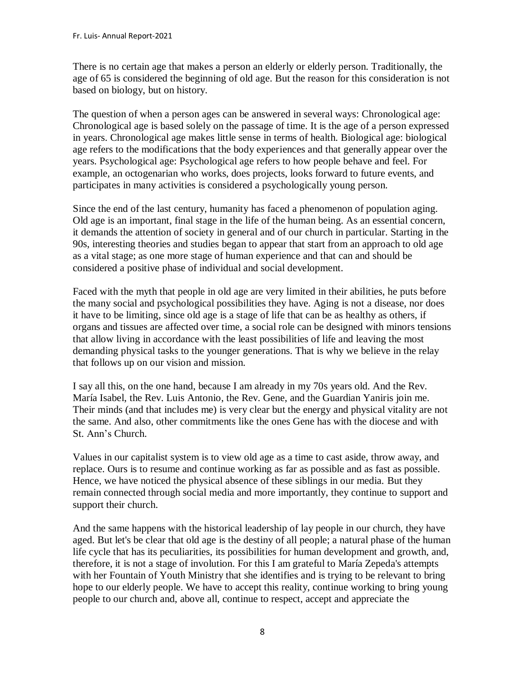There is no certain age that makes a person an elderly or elderly person. Traditionally, the age of 65 is considered the beginning of old age. But the reason for this consideration is not based on biology, but on history.

The question of when a person ages can be answered in several ways: Chronological age: Chronological age is based solely on the passage of time. It is the age of a person expressed in years. Chronological age makes little sense in terms of health. Biological age: biological age refers to the modifications that the body experiences and that generally appear over the years. Psychological age: Psychological age refers to how people behave and feel. For example, an octogenarian who works, does projects, looks forward to future events, and participates in many activities is considered a psychologically young person.

Since the end of the last century, humanity has faced a phenomenon of population aging. Old age is an important, final stage in the life of the human being. As an essential concern, it demands the attention of society in general and of our church in particular. Starting in the 90s, interesting theories and studies began to appear that start from an approach to old age as a vital stage; as one more stage of human experience and that can and should be considered a positive phase of individual and social development.

Faced with the myth that people in old age are very limited in their abilities, he puts before the many social and psychological possibilities they have. Aging is not a disease, nor does it have to be limiting, since old age is a stage of life that can be as healthy as others, if organs and tissues are affected over time, a social role can be designed with minors tensions that allow living in accordance with the least possibilities of life and leaving the most demanding physical tasks to the younger generations. That is why we believe in the relay that follows up on our vision and mission.

I say all this, on the one hand, because I am already in my 70s years old. And the Rev. María Isabel, the Rev. Luis Antonio, the Rev. Gene, and the Guardian Yaniris join me. Their minds (and that includes me) is very clear but the energy and physical vitality are not the same. And also, other commitments like the ones Gene has with the diocese and with St. Ann's Church.

Values in our capitalist system is to view old age as a time to cast aside, throw away, and replace. Ours is to resume and continue working as far as possible and as fast as possible. Hence, we have noticed the physical absence of these siblings in our media. But they remain connected through social media and more importantly, they continue to support and support their church.

And the same happens with the historical leadership of lay people in our church, they have aged. But let's be clear that old age is the destiny of all people; a natural phase of the human life cycle that has its peculiarities, its possibilities for human development and growth, and, therefore, it is not a stage of involution. For this I am grateful to María Zepeda's attempts with her Fountain of Youth Ministry that she identifies and is trying to be relevant to bring hope to our elderly people. We have to accept this reality, continue working to bring young people to our church and, above all, continue to respect, accept and appreciate the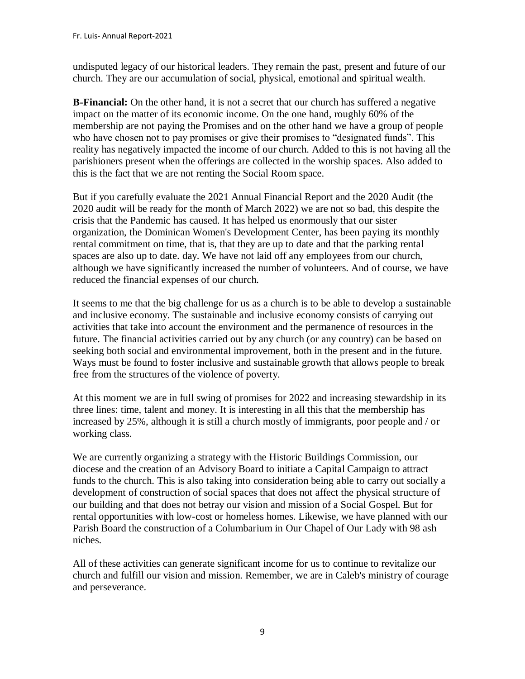undisputed legacy of our historical leaders. They remain the past, present and future of our church. They are our accumulation of social, physical, emotional and spiritual wealth.

**B-Financial:** On the other hand, it is not a secret that our church has suffered a negative impact on the matter of its economic income. On the one hand, roughly 60% of the membership are not paying the Promises and on the other hand we have a group of people who have chosen not to pay promises or give their promises to "designated funds". This reality has negatively impacted the income of our church. Added to this is not having all the parishioners present when the offerings are collected in the worship spaces. Also added to this is the fact that we are not renting the Social Room space.

But if you carefully evaluate the 2021 Annual Financial Report and the 2020 Audit (the 2020 audit will be ready for the month of March 2022) we are not so bad, this despite the crisis that the Pandemic has caused. It has helped us enormously that our sister organization, the Dominican Women's Development Center, has been paying its monthly rental commitment on time, that is, that they are up to date and that the parking rental spaces are also up to date. day. We have not laid off any employees from our church, although we have significantly increased the number of volunteers. And of course, we have reduced the financial expenses of our church.

It seems to me that the big challenge for us as a church is to be able to develop a sustainable and inclusive economy. The sustainable and inclusive economy consists of carrying out activities that take into account the environment and the permanence of resources in the future. The financial activities carried out by any church (or any country) can be based on seeking both social and environmental improvement, both in the present and in the future. Ways must be found to foster inclusive and sustainable growth that allows people to break free from the structures of the violence of poverty.

At this moment we are in full swing of promises for 2022 and increasing stewardship in its three lines: time, talent and money. It is interesting in all this that the membership has increased by 25%, although it is still a church mostly of immigrants, poor people and / or working class.

We are currently organizing a strategy with the Historic Buildings Commission, our diocese and the creation of an Advisory Board to initiate a Capital Campaign to attract funds to the church. This is also taking into consideration being able to carry out socially a development of construction of social spaces that does not affect the physical structure of our building and that does not betray our vision and mission of a Social Gospel. But for rental opportunities with low-cost or homeless homes. Likewise, we have planned with our Parish Board the construction of a Columbarium in Our Chapel of Our Lady with 98 ash niches.

All of these activities can generate significant income for us to continue to revitalize our church and fulfill our vision and mission. Remember, we are in Caleb's ministry of courage and perseverance.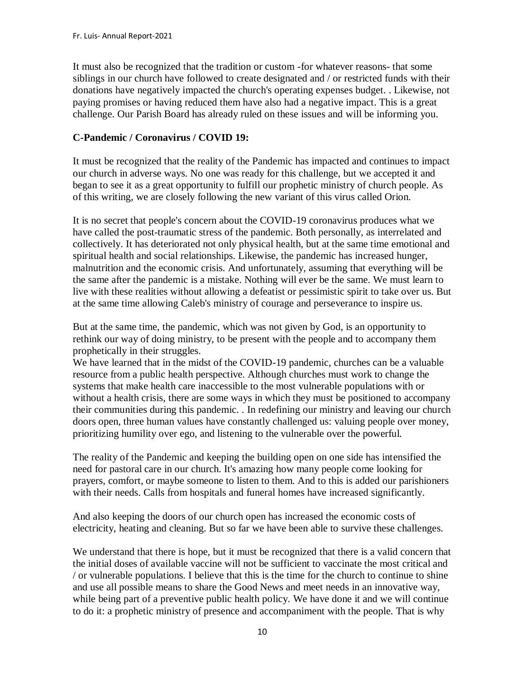It must also be recognized that the tradition or custom -for whatever reasons- that some siblings in our church have followed to create designated and / or restricted funds with their donations have negatively impacted the church's operating expenses budget. . Likewise, not paying promises or having reduced them have also had a negative impact. This is a great challenge. Our Parish Board has already ruled on these issues and will be informing you.

## **C-Pandemic / Coronavirus / COVID 19:**

It must be recognized that the reality of the Pandemic has impacted and continues to impact our church in adverse ways. No one was ready for this challenge, but we accepted it and began to see it as a great opportunity to fulfill our prophetic ministry of church people. As of this writing, we are closely following the new variant of this virus called Orion.

It is no secret that people's concern about the COVID-19 coronavirus produces what we have called the post-traumatic stress of the pandemic. Both personally, as interrelated and collectively. It has deteriorated not only physical health, but at the same time emotional and spiritual health and social relationships. Likewise, the pandemic has increased hunger, malnutrition and the economic crisis. And unfortunately, assuming that everything will be the same after the pandemic is a mistake. Nothing will ever be the same. We must learn to live with these realities without allowing a defeatist or pessimistic spirit to take over us. But at the same time allowing Caleb's ministry of courage and perseverance to inspire us.

But at the same time, the pandemic, which was not given by God, is an opportunity to rethink our way of doing ministry, to be present with the people and to accompany them prophetically in their struggles.

We have learned that in the midst of the COVID-19 pandemic, churches can be a valuable resource from a public health perspective. Although churches must work to change the systems that make health care inaccessible to the most vulnerable populations with or without a health crisis, there are some ways in which they must be positioned to accompany their communities during this pandemic. . In redefining our ministry and leaving our church doors open, three human values have constantly challenged us: valuing people over money, prioritizing humility over ego, and listening to the vulnerable over the powerful.

The reality of the Pandemic and keeping the building open on one side has intensified the need for pastoral care in our church. It's amazing how many people come looking for prayers, comfort, or maybe someone to listen to them. And to this is added our parishioners with their needs. Calls from hospitals and funeral homes have increased significantly.

And also keeping the doors of our church open has increased the economic costs of electricity, heating and cleaning. But so far we have been able to survive these challenges.

We understand that there is hope, but it must be recognized that there is a valid concern that the initial doses of available vaccine will not be sufficient to vaccinate the most critical and / or vulnerable populations. I believe that this is the time for the church to continue to shine and use all possible means to share the Good News and meet needs in an innovative way, while being part of a preventive public health policy. We have done it and we will continue to do it: a prophetic ministry of presence and accompaniment with the people. That is why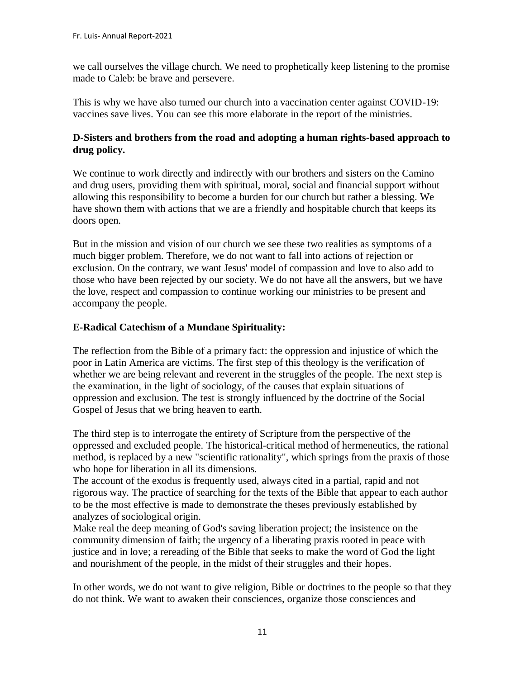we call ourselves the village church. We need to prophetically keep listening to the promise made to Caleb: be brave and persevere.

This is why we have also turned our church into a vaccination center against COVID-19: vaccines save lives. You can see this more elaborate in the report of the ministries.

## **D-Sisters and brothers from the road and adopting a human rights-based approach to drug policy.**

We continue to work directly and indirectly with our brothers and sisters on the Camino and drug users, providing them with spiritual, moral, social and financial support without allowing this responsibility to become a burden for our church but rather a blessing. We have shown them with actions that we are a friendly and hospitable church that keeps its doors open.

But in the mission and vision of our church we see these two realities as symptoms of a much bigger problem. Therefore, we do not want to fall into actions of rejection or exclusion. On the contrary, we want Jesus' model of compassion and love to also add to those who have been rejected by our society. We do not have all the answers, but we have the love, respect and compassion to continue working our ministries to be present and accompany the people.

## **E-Radical Catechism of a Mundane Spirituality:**

The reflection from the Bible of a primary fact: the oppression and injustice of which the poor in Latin America are victims. The first step of this theology is the verification of whether we are being relevant and reverent in the struggles of the people. The next step is the examination, in the light of sociology, of the causes that explain situations of oppression and exclusion. The test is strongly influenced by the doctrine of the Social Gospel of Jesus that we bring heaven to earth.

The third step is to interrogate the entirety of Scripture from the perspective of the oppressed and excluded people. The historical-critical method of hermeneutics, the rational method, is replaced by a new "scientific rationality", which springs from the praxis of those who hope for liberation in all its dimensions.

The account of the exodus is frequently used, always cited in a partial, rapid and not rigorous way. The practice of searching for the texts of the Bible that appear to each author to be the most effective is made to demonstrate the theses previously established by analyzes of sociological origin.

Make real the deep meaning of God's saving liberation project; the insistence on the community dimension of faith; the urgency of a liberating praxis rooted in peace with justice and in love; a rereading of the Bible that seeks to make the word of God the light and nourishment of the people, in the midst of their struggles and their hopes.

In other words, we do not want to give religion, Bible or doctrines to the people so that they do not think. We want to awaken their consciences, organize those consciences and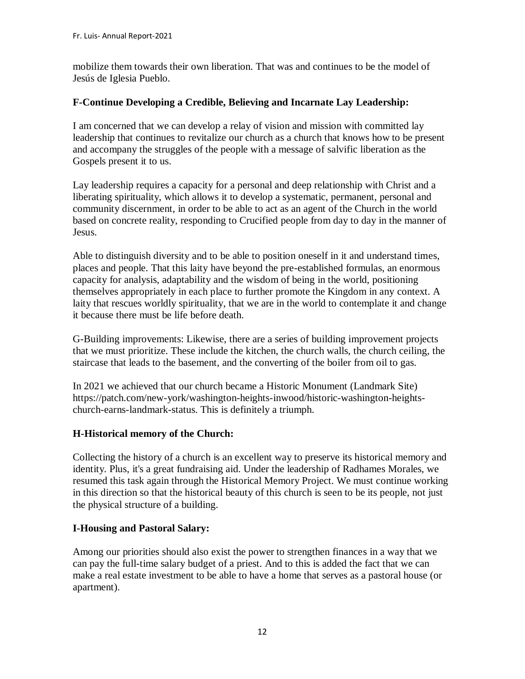mobilize them towards their own liberation. That was and continues to be the model of Jesús de Iglesia Pueblo.

## **F-Continue Developing a Credible, Believing and Incarnate Lay Leadership:**

I am concerned that we can develop a relay of vision and mission with committed lay leadership that continues to revitalize our church as a church that knows how to be present and accompany the struggles of the people with a message of salvific liberation as the Gospels present it to us.

Lay leadership requires a capacity for a personal and deep relationship with Christ and a liberating spirituality, which allows it to develop a systematic, permanent, personal and community discernment, in order to be able to act as an agent of the Church in the world based on concrete reality, responding to Crucified people from day to day in the manner of Jesus.

Able to distinguish diversity and to be able to position oneself in it and understand times, places and people. That this laity have beyond the pre-established formulas, an enormous capacity for analysis, adaptability and the wisdom of being in the world, positioning themselves appropriately in each place to further promote the Kingdom in any context. A laity that rescues worldly spirituality, that we are in the world to contemplate it and change it because there must be life before death.

G-Building improvements: Likewise, there are a series of building improvement projects that we must prioritize. These include the kitchen, the church walls, the church ceiling, the staircase that leads to the basement, and the converting of the boiler from oil to gas.

In 2021 we achieved that our church became a Historic Monument (Landmark Site) https://patch.com/new-york/washington-heights-inwood/historic-washington-heightschurch-earns-landmark-status. This is definitely a triumph.

## **H-Historical memory of the Church:**

Collecting the history of a church is an excellent way to preserve its historical memory and identity. Plus, it's a great fundraising aid. Under the leadership of Radhames Morales, we resumed this task again through the Historical Memory Project. We must continue working in this direction so that the historical beauty of this church is seen to be its people, not just the physical structure of a building.

#### **I-Housing and Pastoral Salary:**

Among our priorities should also exist the power to strengthen finances in a way that we can pay the full-time salary budget of a priest. And to this is added the fact that we can make a real estate investment to be able to have a home that serves as a pastoral house (or apartment).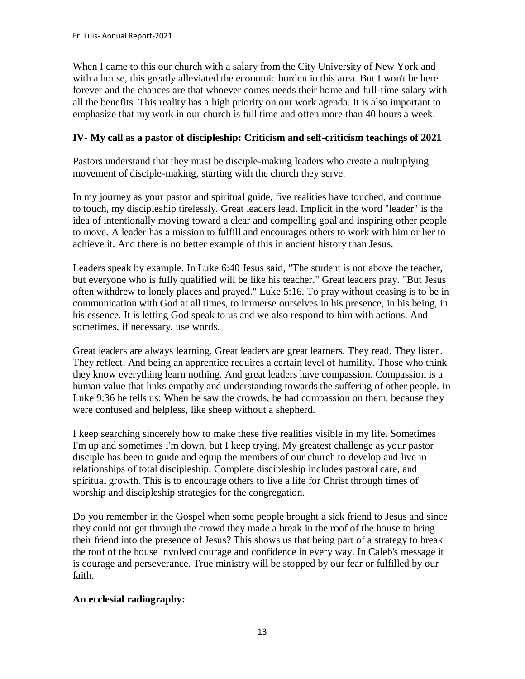When I came to this our church with a salary from the City University of New York and with a house, this greatly alleviated the economic burden in this area. But I won't be here forever and the chances are that whoever comes needs their home and full-time salary with all the benefits. This reality has a high priority on our work agenda. It is also important to emphasize that my work in our church is full time and often more than 40 hours a week.

## **IV- My call as a pastor of discipleship: Criticism and self-criticism teachings of 2021**

Pastors understand that they must be disciple-making leaders who create a multiplying movement of disciple-making, starting with the church they serve.

In my journey as your pastor and spiritual guide, five realities have touched, and continue to touch, my discipleship tirelessly. Great leaders lead. Implicit in the word "leader" is the idea of intentionally moving toward a clear and compelling goal and inspiring other people to move. A leader has a mission to fulfill and encourages others to work with him or her to achieve it. And there is no better example of this in ancient history than Jesus.

Leaders speak by example. In Luke 6:40 Jesus said, "The student is not above the teacher, but everyone who is fully qualified will be like his teacher." Great leaders pray. "But Jesus often withdrew to lonely places and prayed." Luke 5:16. To pray without ceasing is to be in communication with God at all times, to immerse ourselves in his presence, in his being, in his essence. It is letting God speak to us and we also respond to him with actions. And sometimes, if necessary, use words.

Great leaders are always learning. Great leaders are great learners. They read. They listen. They reflect. And being an apprentice requires a certain level of humility. Those who think they know everything learn nothing. And great leaders have compassion. Compassion is a human value that links empathy and understanding towards the suffering of other people. In Luke 9:36 he tells us: When he saw the crowds, he had compassion on them, because they were confused and helpless, like sheep without a shepherd.

I keep searching sincerely how to make these five realities visible in my life. Sometimes I'm up and sometimes I'm down, but I keep trying. My greatest challenge as your pastor disciple has been to guide and equip the members of our church to develop and live in relationships of total discipleship. Complete discipleship includes pastoral care, and spiritual growth. This is to encourage others to live a life for Christ through times of worship and discipleship strategies for the congregation.

Do you remember in the Gospel when some people brought a sick friend to Jesus and since they could not get through the crowd they made a break in the roof of the house to bring their friend into the presence of Jesus? This shows us that being part of a strategy to break the roof of the house involved courage and confidence in every way. In Caleb's message it is courage and perseverance. True ministry will be stopped by our fear or fulfilled by our faith.

#### **An ecclesial radiography:**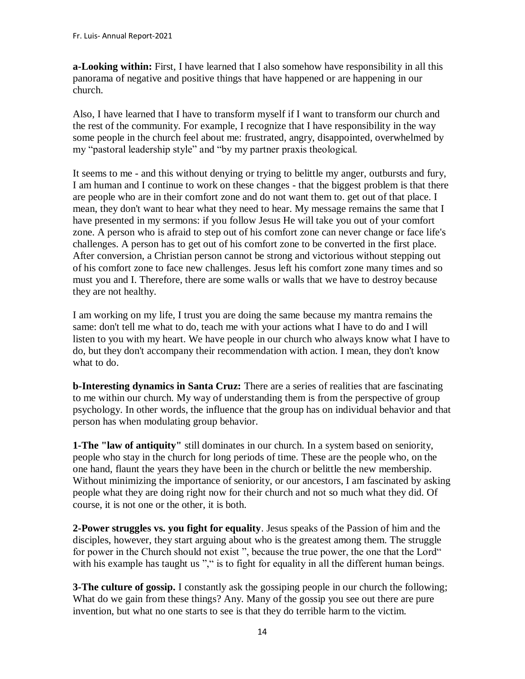**a-Looking within:** First, I have learned that I also somehow have responsibility in all this panorama of negative and positive things that have happened or are happening in our church.

Also, I have learned that I have to transform myself if I want to transform our church and the rest of the community. For example, I recognize that I have responsibility in the way some people in the church feel about me: frustrated, angry, disappointed, overwhelmed by my "pastoral leadership style" and "by my partner praxis theological.

It seems to me - and this without denying or trying to belittle my anger, outbursts and fury, I am human and I continue to work on these changes - that the biggest problem is that there are people who are in their comfort zone and do not want them to. get out of that place. I mean, they don't want to hear what they need to hear. My message remains the same that I have presented in my sermons: if you follow Jesus He will take you out of your comfort zone. A person who is afraid to step out of his comfort zone can never change or face life's challenges. A person has to get out of his comfort zone to be converted in the first place. After conversion, a Christian person cannot be strong and victorious without stepping out of his comfort zone to face new challenges. Jesus left his comfort zone many times and so must you and I. Therefore, there are some walls or walls that we have to destroy because they are not healthy.

I am working on my life, I trust you are doing the same because my mantra remains the same: don't tell me what to do, teach me with your actions what I have to do and I will listen to you with my heart. We have people in our church who always know what I have to do, but they don't accompany their recommendation with action. I mean, they don't know what to do.

**b-Interesting dynamics in Santa Cruz:** There are a series of realities that are fascinating to me within our church. My way of understanding them is from the perspective of group psychology. In other words, the influence that the group has on individual behavior and that person has when modulating group behavior.

**1-The "law of antiquity"** still dominates in our church. In a system based on seniority, people who stay in the church for long periods of time. These are the people who, on the one hand, flaunt the years they have been in the church or belittle the new membership. Without minimizing the importance of seniority, or our ancestors, I am fascinated by asking people what they are doing right now for their church and not so much what they did. Of course, it is not one or the other, it is both.

**2-Power struggles vs. you fight for equality**. Jesus speaks of the Passion of him and the disciples, however, they start arguing about who is the greatest among them. The struggle for power in the Church should not exist ", because the true power, the one that the Lord" with his example has taught us "," is to fight for equality in all the different human beings.

**3-The culture of gossip.** I constantly ask the gossiping people in our church the following; What do we gain from these things? Any. Many of the gossip you see out there are pure invention, but what no one starts to see is that they do terrible harm to the victim.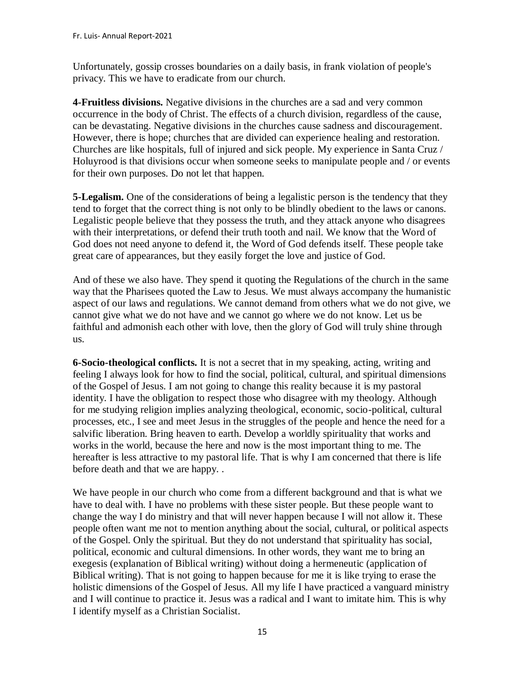Unfortunately, gossip crosses boundaries on a daily basis, in frank violation of people's privacy. This we have to eradicate from our church.

**4-Fruitless divisions.** Negative divisions in the churches are a sad and very common occurrence in the body of Christ. The effects of a church division, regardless of the cause, can be devastating. Negative divisions in the churches cause sadness and discouragement. However, there is hope; churches that are divided can experience healing and restoration. Churches are like hospitals, full of injured and sick people. My experience in Santa Cruz / Holuyrood is that divisions occur when someone seeks to manipulate people and / or events for their own purposes. Do not let that happen.

**5-Legalism.** One of the considerations of being a legalistic person is the tendency that they tend to forget that the correct thing is not only to be blindly obedient to the laws or canons. Legalistic people believe that they possess the truth, and they attack anyone who disagrees with their interpretations, or defend their truth tooth and nail. We know that the Word of God does not need anyone to defend it, the Word of God defends itself. These people take great care of appearances, but they easily forget the love and justice of God.

And of these we also have. They spend it quoting the Regulations of the church in the same way that the Pharisees quoted the Law to Jesus. We must always accompany the humanistic aspect of our laws and regulations. We cannot demand from others what we do not give, we cannot give what we do not have and we cannot go where we do not know. Let us be faithful and admonish each other with love, then the glory of God will truly shine through us.

**6-Socio-theological conflicts.** It is not a secret that in my speaking, acting, writing and feeling I always look for how to find the social, political, cultural, and spiritual dimensions of the Gospel of Jesus. I am not going to change this reality because it is my pastoral identity. I have the obligation to respect those who disagree with my theology. Although for me studying religion implies analyzing theological, economic, socio-political, cultural processes, etc., I see and meet Jesus in the struggles of the people and hence the need for a salvific liberation. Bring heaven to earth. Develop a worldly spirituality that works and works in the world, because the here and now is the most important thing to me. The hereafter is less attractive to my pastoral life. That is why I am concerned that there is life before death and that we are happy. .

We have people in our church who come from a different background and that is what we have to deal with. I have no problems with these sister people. But these people want to change the way I do ministry and that will never happen because I will not allow it. These people often want me not to mention anything about the social, cultural, or political aspects of the Gospel. Only the spiritual. But they do not understand that spirituality has social, political, economic and cultural dimensions. In other words, they want me to bring an exegesis (explanation of Biblical writing) without doing a hermeneutic (application of Biblical writing). That is not going to happen because for me it is like trying to erase the holistic dimensions of the Gospel of Jesus. All my life I have practiced a vanguard ministry and I will continue to practice it. Jesus was a radical and I want to imitate him. This is why I identify myself as a Christian Socialist.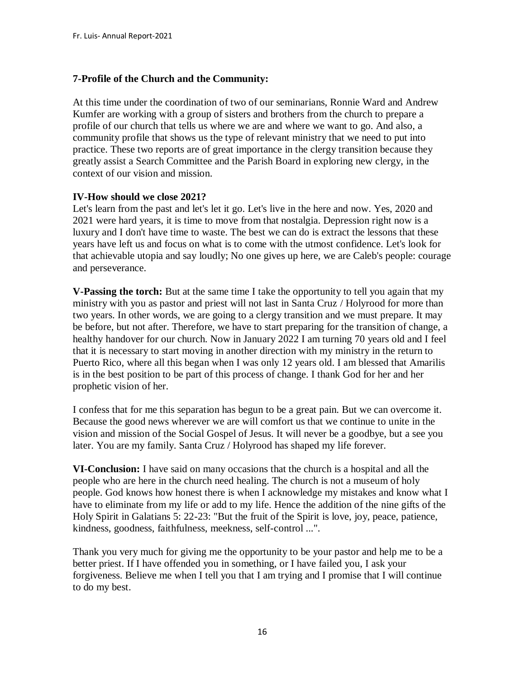## **7-Profile of the Church and the Community:**

At this time under the coordination of two of our seminarians, Ronnie Ward and Andrew Kumfer are working with a group of sisters and brothers from the church to prepare a profile of our church that tells us where we are and where we want to go. And also, a community profile that shows us the type of relevant ministry that we need to put into practice. These two reports are of great importance in the clergy transition because they greatly assist a Search Committee and the Parish Board in exploring new clergy, in the context of our vision and mission.

#### **IV-How should we close 2021?**

Let's learn from the past and let's let it go. Let's live in the here and now. Yes, 2020 and 2021 were hard years, it is time to move from that nostalgia. Depression right now is a luxury and I don't have time to waste. The best we can do is extract the lessons that these years have left us and focus on what is to come with the utmost confidence. Let's look for that achievable utopia and say loudly; No one gives up here, we are Caleb's people: courage and perseverance.

**V-Passing the torch:** But at the same time I take the opportunity to tell you again that my ministry with you as pastor and priest will not last in Santa Cruz / Holyrood for more than two years. In other words, we are going to a clergy transition and we must prepare. It may be before, but not after. Therefore, we have to start preparing for the transition of change, a healthy handover for our church. Now in January 2022 I am turning 70 years old and I feel that it is necessary to start moving in another direction with my ministry in the return to Puerto Rico, where all this began when I was only 12 years old. I am blessed that Amarilis is in the best position to be part of this process of change. I thank God for her and her prophetic vision of her.

I confess that for me this separation has begun to be a great pain. But we can overcome it. Because the good news wherever we are will comfort us that we continue to unite in the vision and mission of the Social Gospel of Jesus. It will never be a goodbye, but a see you later. You are my family. Santa Cruz / Holyrood has shaped my life forever.

**VI-Conclusion:** I have said on many occasions that the church is a hospital and all the people who are here in the church need healing. The church is not a museum of holy people. God knows how honest there is when I acknowledge my mistakes and know what I have to eliminate from my life or add to my life. Hence the addition of the nine gifts of the Holy Spirit in Galatians 5: 22-23: "But the fruit of the Spirit is love, joy, peace, patience, kindness, goodness, faithfulness, meekness, self-control ...".

Thank you very much for giving me the opportunity to be your pastor and help me to be a better priest. If I have offended you in something, or I have failed you, I ask your forgiveness. Believe me when I tell you that I am trying and I promise that I will continue to do my best.